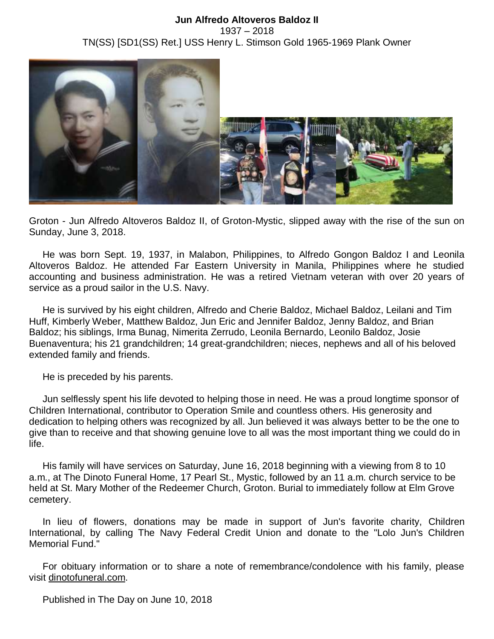## **Jun Alfredo Altoveros Baldoz II** 1937 – 2018 TN(SS) [SD1(SS) Ret.] USS Henry L. Stimson Gold 1965-1969 Plank Owner



Groton - Jun Alfredo Altoveros Baldoz II, of Groton-Mystic, slipped away with the rise of the sun on Sunday, June 3, 2018.

 He was born Sept. 19, 1937, in Malabon, Philippines, to Alfredo Gongon Baldoz I and Leonila Altoveros Baldoz. He attended Far Eastern University in Manila, Philippines where he studied accounting and business administration. He was a retired Vietnam veteran with over 20 years of service as a proud sailor in the U.S. Navy.

 He is survived by his eight children, Alfredo and Cherie Baldoz, Michael Baldoz, Leilani and Tim Huff, Kimberly Weber, Matthew Baldoz, Jun Eric and Jennifer Baldoz, Jenny Baldoz, and Brian Baldoz; his siblings, Irma Bunag, Nimerita Zerrudo, Leonila Bernardo, Leonilo Baldoz, Josie Buenaventura; his 21 grandchildren; 14 great-grandchildren; nieces, nephews and all of his beloved extended family and friends.

He is preceded by his parents.

 Jun selflessly spent his life devoted to helping those in need. He was a proud longtime sponsor of Children International, contributor to Operation Smile and countless others. His generosity and dedication to helping others was recognized by all. Jun believed it was always better to be the one to give than to receive and that showing genuine love to all was the most important thing we could do in life.

 His family will have services on Saturday, June 16, 2018 beginning with a viewing from 8 to 10 a.m., at The Dinoto Funeral Home, 17 Pearl St., Mystic, followed by an 11 a.m. church service to be held at St. Mary Mother of the Redeemer Church, Groton. Burial to immediately follow at Elm Grove cemetery.

 In lieu of flowers, donations may be made in support of Jun's favorite charity, Children International, by calling The Navy Federal Credit Union and donate to the "Lolo Jun's Children Memorial Fund."

 For obituary information or to share a note of remembrance/condolence with his family, please visit [dinotofuneral.com.](http://dinotofuneral.com/)

Published in The Day on June 10, 2018